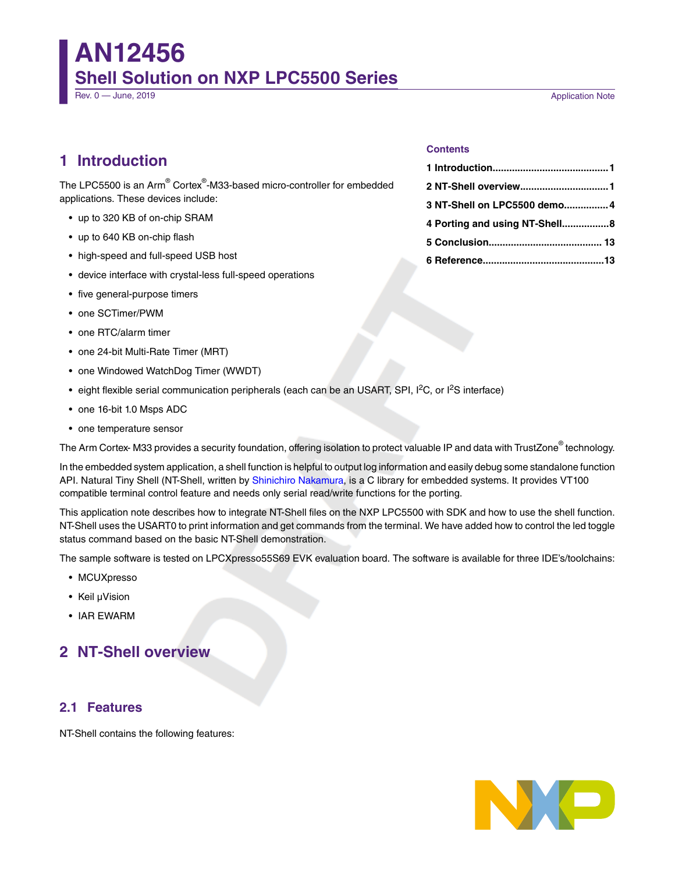# **AN12456 Shell Solution on NXP LPC5500 Series**

Rev. 0 — June, 2019 **Application Note** 

# **1 Introduction**

The LPC5500 is an Arm® Cortex®-M33-based micro-controller for embedded applications. These devices include:

- up to 320 KB of on-chip SRAM
- up to 640 KB on-chip flash
- high-speed and full-speed USB host
- device interface with crystal-less full-speed operations
- five general-purpose timers
- one SCTimer/PWM
- one RTC/alarm timer
- one 24-bit Multi-Rate Timer (MRT)
- one Windowed WatchDog Timer (WWDT)
- eight flexible serial communication peripherals (each can be an USART, SPI, I<sup>2</sup>C, or I<sup>2</sup>S interface)
- one 16-bit 1.0 Msps ADC
- one temperature sensor

The Arm Cortex- M33 provides a security foundation, offering isolation to protect valuable IP and data with TrustZone® technology.

In the embedded system application, a shell function is helpful to output log information and easily debug some standalone function API. Natural Tiny Shell (NT-Shell, written by [Shinichiro Nakamura,](https://twitter.com/shintamainjp) is a C library for embedded systems. It provides VT100 compatible terminal control feature and needs only serial read/write functions for the porting.

This application note describes how to integrate NT-Shell files on the NXP LPC5500 with SDK and how to use the shell function. NT-Shell uses the USART0 to print information and get commands from the terminal. We have added how to control the led toggle status command based on the basic NT-Shell demonstration.

The sample software is tested on LPCXpresso55S69 EVK evaluation board. The software is available for three IDE's/toolchains:

- MCUXpresso
- Keil μVision
- IAR EWARM

# **2 NT-Shell overview**

### **2.1 Features**

NT-Shell contains the following features:



#### **Contents**

| 2 NT-Shell overview1          |  |
|-------------------------------|--|
| 3 NT-Shell on LPC5500 demo 4  |  |
| 4 Porting and using NT-Shell8 |  |
|                               |  |
|                               |  |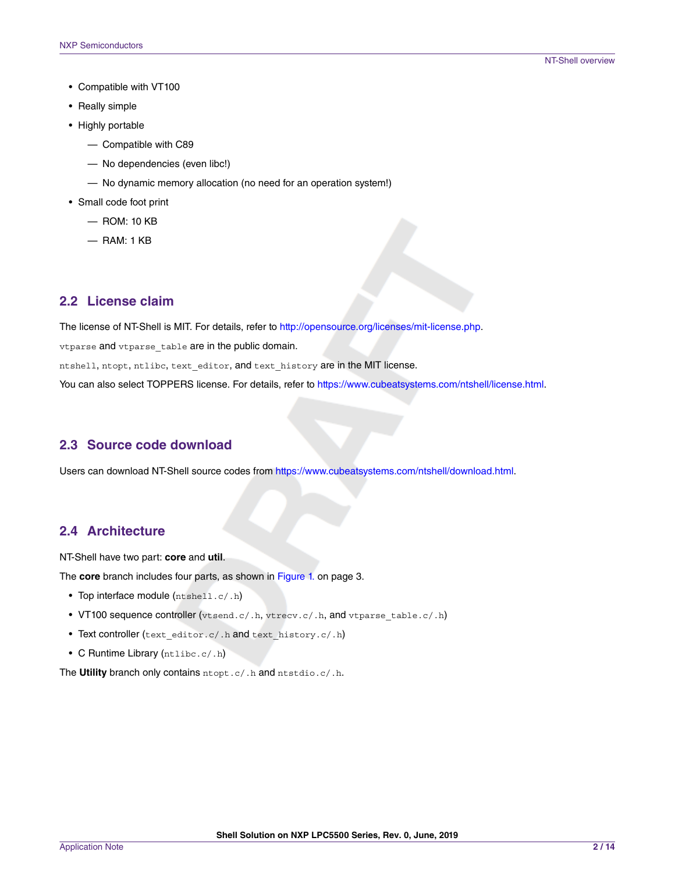- Compatible with VT100
- Really simple
- Highly portable
	- Compatible with C89
	- No dependencies (even libc!)
	- No dynamic memory allocation (no need for an operation system!)
- Small code foot print
	- ROM: 10 KB
	- RAM: 1 KB

## **2.2 License claim**

The license of NT-Shell is MIT. For details, refer to <http://opensource.org/licenses/mit-license.php>.

vtparse and vtparse table are in the public domain.

ntshell, ntopt, ntlibc, text editor, and text history are in the MIT license.

You can also select TOPPERS license. For details, refer to<https://www.cubeatsystems.com/ntshell/license.html>.

## **2.3 Source code download**

Users can download NT-Shell source codes from [https://www.cubeatsystems.com/ntshell/download.html.](https://www.cubeatsystems.com/ntshell/download.html)

## **2.4 Architecture**

NT-Shell have two part: **core** and **util**.

The **core** branch includes four parts, as shown in [Figure 1.](#page-2-0) on page 3.

- Top interface module  $(ntshell.c/.h)$
- VT100 sequence controller (vtsend.c/.h, vtrecv.c/.h, and vtparse\_table.c/.h)
- Text controller (text editor.c/.h and text history.c/.h)
- C Runtime Library (ntlibc.c/.h)

The **Utility** branch only contains ntopt.c/.h and ntstdio.c/.h.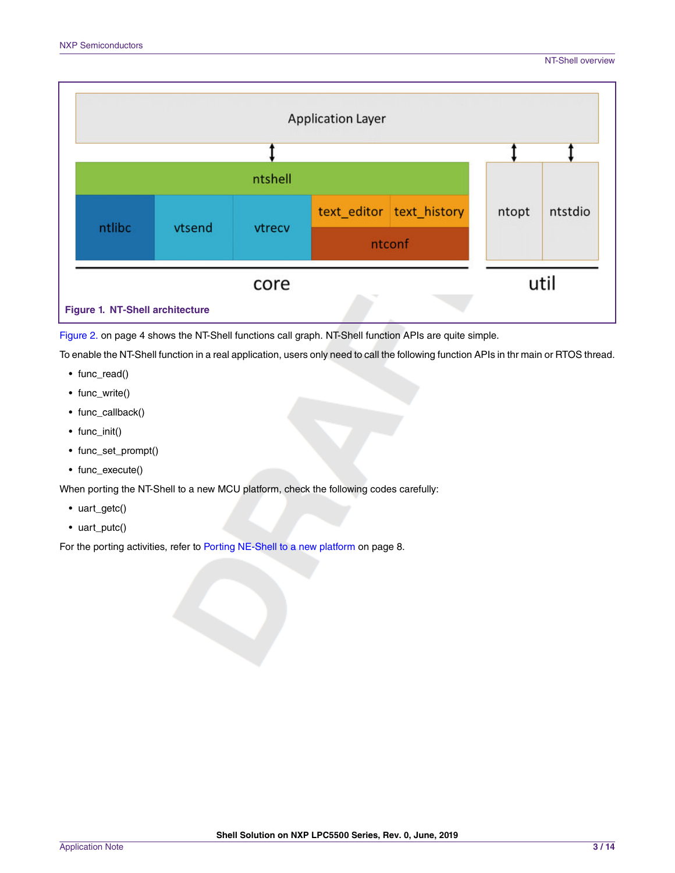<span id="page-2-0"></span>

[Figure 2. o](#page-3-0)n page 4 shows the NT-Shell functions call graph. NT-Shell function APIs are quite simple.

To enable the NT-Shell function in a real application, users only need to call the following function APIs in thr main or RTOS thread.

- func\_read()
- func\_write()
- func\_callback()
- func\_init()
- func\_set\_prompt()
- func\_execute()

When porting the NT-Shell to a new MCU platform, check the following codes carefully:

- uart\_getc()
- uart\_putc()

For the porting activities, refer to [Porting NE-Shell to a new platform](#page-7-0) on page 8.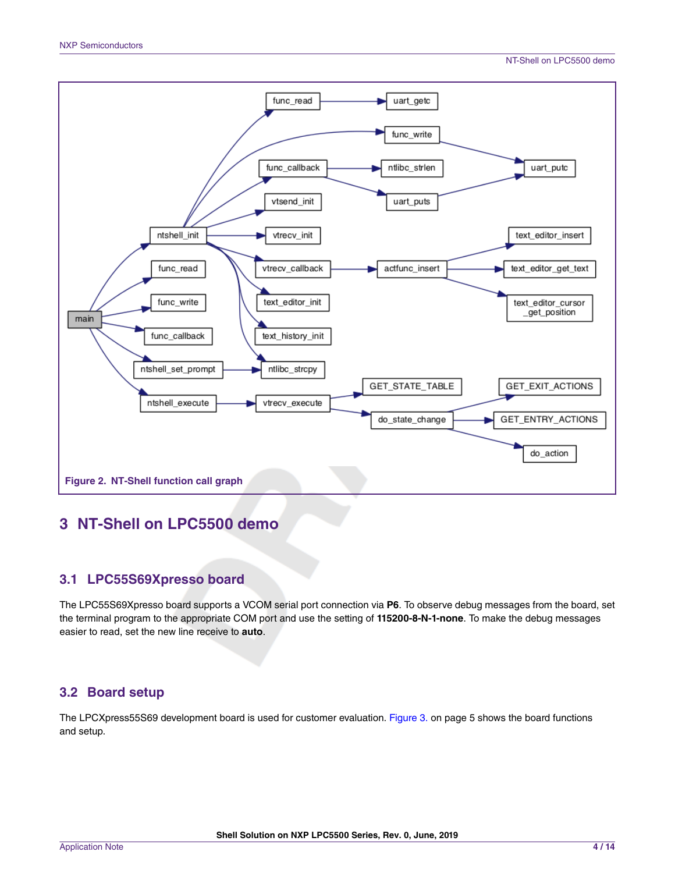<span id="page-3-0"></span>

# **3 NT-Shell on LPC5500 demo**

## **3.1 LPC55S69Xpresso board**

The LPC55S69Xpresso board supports a VCOM serial port connection via **P6**. To observe debug messages from the board, set the terminal program to the appropriate COM port and use the setting of **115200-8-N-1-none**. To make the debug messages easier to read, set the new line receive to **auto**.

# **3.2 Board setup**

The LPCXpress55S69 development board is used for customer evaluation. [Figure 3. o](#page-4-0)n page 5 shows the board functions and setup.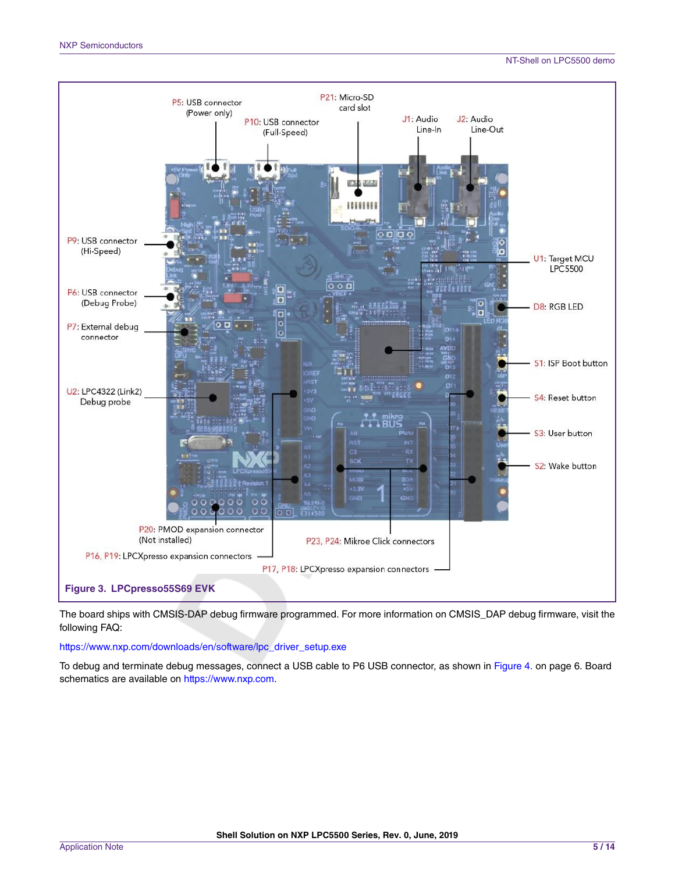#### NT-Shell on LPC5500 demo

<span id="page-4-0"></span>

The board ships with CMSIS-DAP debug firmware programmed. For more information on CMSIS\_DAP debug firmware, visit the following FAQ:

[https://www.nxp.com/downloads/en/software/lpc\\_driver\\_setup.exe](https://www.nxp.com/downloads/en/software/lpc_driver_setup.exe)

To debug and terminate debug messages, connect a USB cable to P6 USB connector, as shown in [Figure 4. o](#page-5-0)n page 6. Board schematics are available on [https://www.nxp.com.](https://www.nxp.com)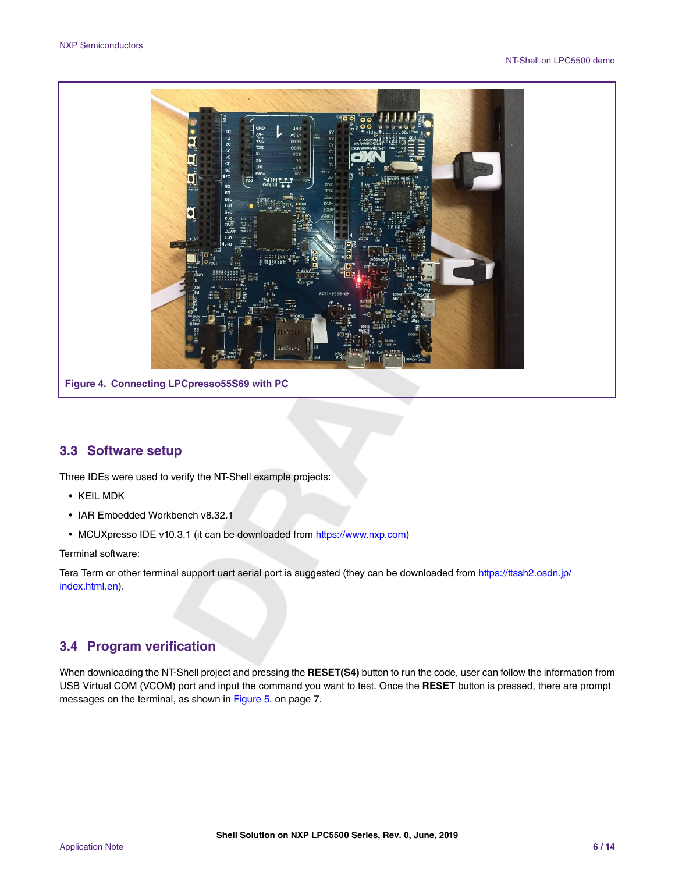<span id="page-5-0"></span>

## **3.3 Software setup**

Three IDEs were used to verify the NT-Shell example projects:

- KEIL MDK
- IAR Embedded Workbench v8.32.1
- MCUXpresso IDE v10.3.1 (it can be downloaded from <https://www.nxp.com>)

Terminal software:

Tera Term or other terminal support uart serial port is suggested (they can be downloaded from [https://ttssh2.osdn.jp/](https://ttssh2.osdn.jp/index.html.en) [index.html.en](https://ttssh2.osdn.jp/index.html.en)).

# **3.4 Program verification**

When downloading the NT-Shell project and pressing the **RESET(S4)** button to run the code, user can follow the information from USB Virtual COM (VCOM) port and input the command you want to test. Once the **RESET** button is pressed, there are prompt messages on the terminal, as shown in [Figure 5. o](#page-6-0)n page 7.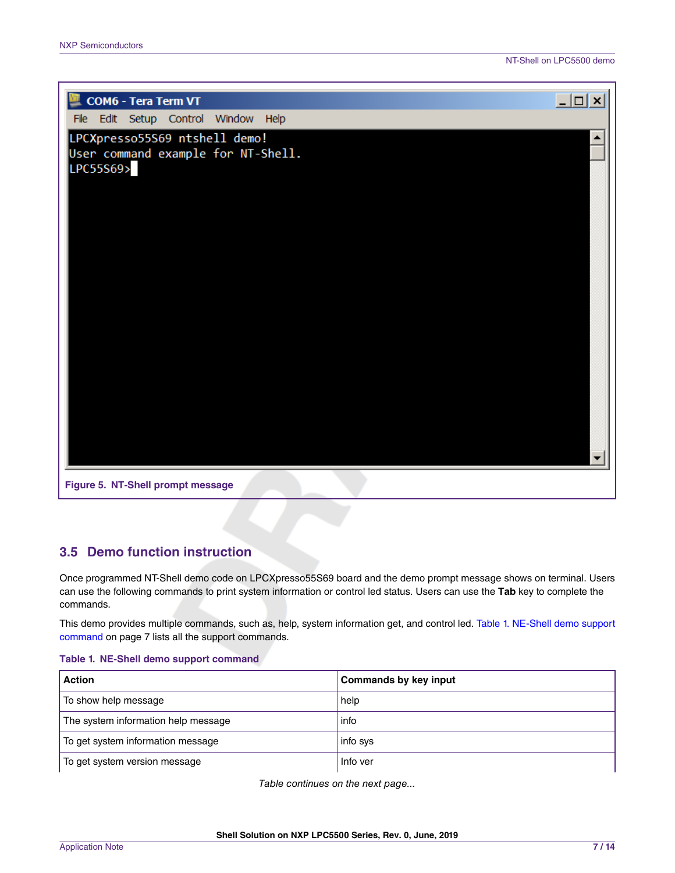<span id="page-6-0"></span>

# **3.5 Demo function instruction**

Once programmed NT-Shell demo code on LPCXpresso55S69 board and the demo prompt message shows on terminal. Users can use the following commands to print system information or control led status. Users can use the **Tab** key to complete the commands.

This demo provides multiple commands, such as, help, system information get, and control led. Table 1. NE-Shell demo support command on page 7 lists all the support commands.

#### **Table 1. NE-Shell demo support command**

| <b>Action</b>                       | <b>Commands by key input</b> |
|-------------------------------------|------------------------------|
| To show help message                | help                         |
| The system information help message | info                         |
| To get system information message   | info sys                     |
| To get system version message       | Info ver                     |

*Table continues on the next page...*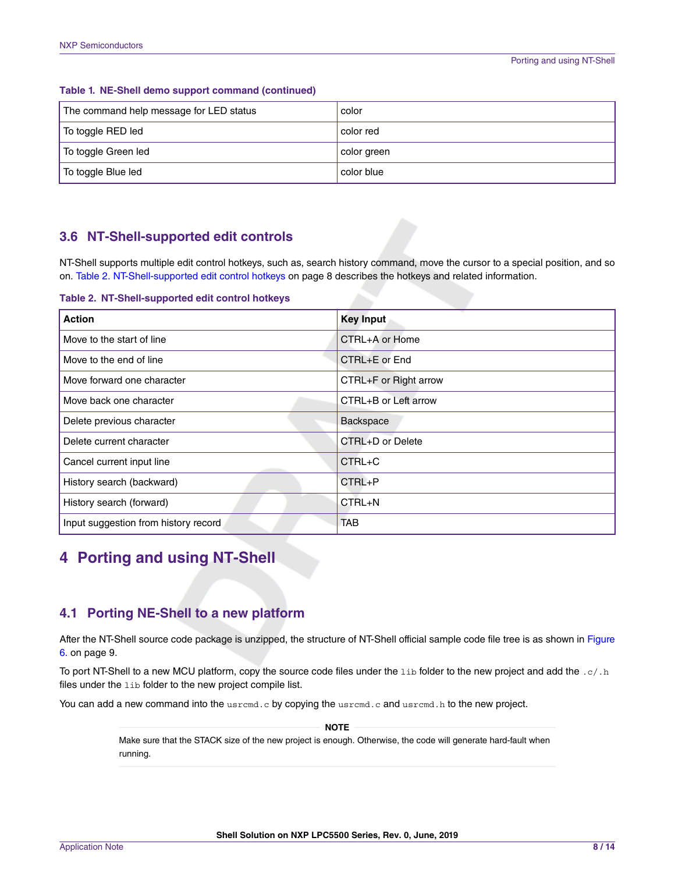| The command help message for LED status | color       |
|-----------------------------------------|-------------|
| To toggle RED led                       | color red   |
| To toggle Green led                     | color green |
| To toggle Blue led                      | color blue  |

#### <span id="page-7-0"></span>**Table 1. NE-Shell demo support command (continued)**

# **3.6 NT-Shell-supported edit controls**

NT-Shell supports multiple edit control hotkeys, such as, search history command, move the cursor to a special position, and so on. Table 2. NT-Shell-supported edit control hotkeys on page 8 describes the hotkeys and related information.

**Table 2. NT-Shell-supported edit control hotkeys**

| <b>Action</b>                        | <b>Key Input</b>      |
|--------------------------------------|-----------------------|
| Move to the start of line            | CTRL+A or Home        |
| Move to the end of line              | CTRL+E or End         |
| Move forward one character           | CTRL+F or Right arrow |
| Move back one character              | CTRL+B or Left arrow  |
| Delete previous character            | Backspace             |
| Delete current character             | CTRL+D or Delete      |
| Cancel current input line            | $CTRL+C$              |
| History search (backward)            | $CTRL + P$            |
| History search (forward)             | CTRL+N                |
| Input suggestion from history record | <b>TAB</b>            |

# **4 Porting and using NT-Shell**

## **4.1 Porting NE-Shell to a new platform**

After the NT-Shell source code package is unzipped, the structure of NT-Shell official sample code file tree is as shown in [Figure](#page-8-0) [6.](#page-8-0) on page 9.

To port NT-Shell to a new MCU platform, copy the source code files under the 1ib folder to the new project and add the .c/.h files under the lib folder to the new project compile list.

You can add a new command into the usrcmd.c by copying the usrcmd.c and usrcmd.h to the new project.

 **NOTE** 

Make sure that the STACK size of the new project is enough. Otherwise, the code will generate hard-fault when running.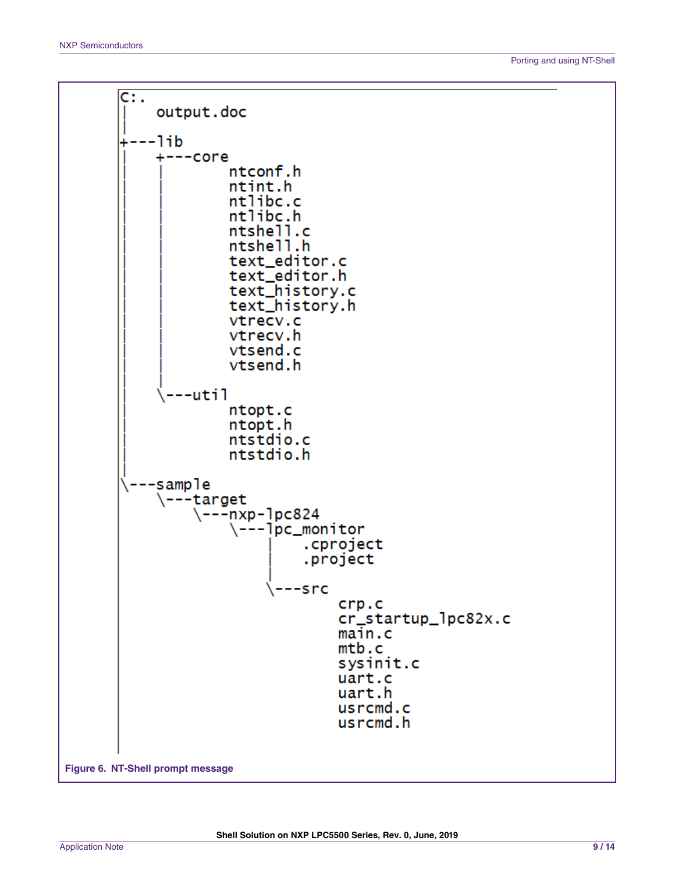<span id="page-8-0"></span>C: . output.doc ---1ib +---core ntconf.h ntint.h ntlibc.c ntlibc.h ntshell.c ntshell.h text\_editor.c text\_editor.h text\_history.c text\_history.h vtrecv.c vtrecv.h vtsend.c vtsend.h --util ntopt.c ntopt.h ntstdio.c ntstdio.h -sample \---target  $\{- -nxp - \pmod{24}$  $\{-\text{-}1\text{pc\_monitor}$ .cproject .project ---src  $crp.c$ cr\_startup\_lpc82x.c  $main.c$  $m$ tb.c sysinit.c uart.c uart.h usrcmd.c usrcmd.h **Figure 6. NT-Shell prompt message**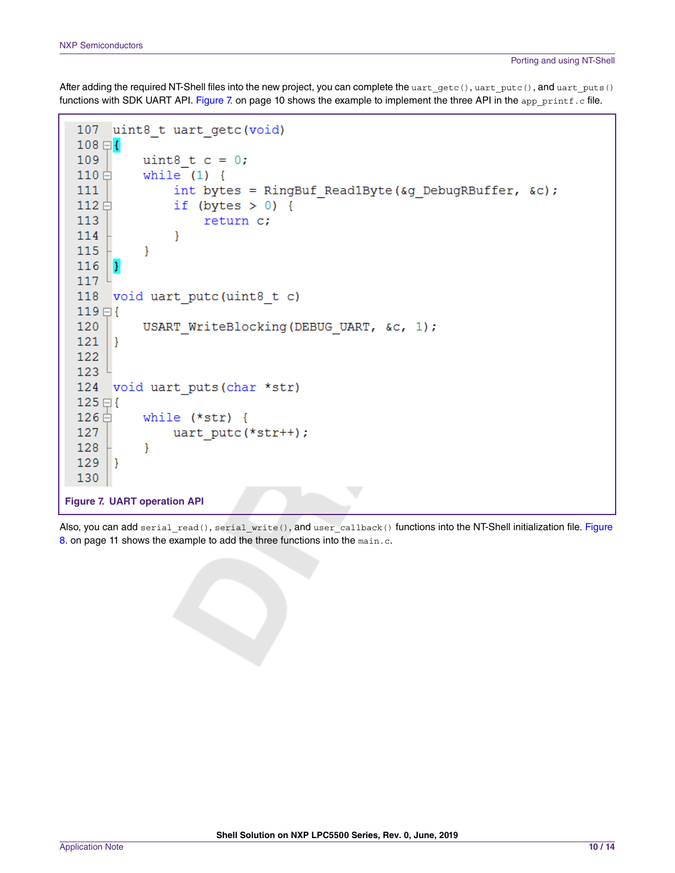After adding the required NT-Shell files into the new project, you can complete the uart\_getc(), uart\_putc(), and uart\_puts() functions with SDK UART API. Figure 7. on page 10 shows the example to implement the three API in the app\_printf.c file.

```
uint8 t uart getc (void)
 107108 \boxminus109
            uint8 t c = 0;
 110 \Boxwhile (1) {
                 int bytes = RingBuf Read1Byte (\omegag DebugRBuffer, \omega);
 111
 112日
                 if (bytes > 0) {
 113
                      return c;
 114
                 \mathcal{E}115
            ₹
 116
       <sup>1</sup>
 117
 118
       void uart putc (uint8 t c)
 119E120
            USART WriteBlocking (DEBUG UART, &c, 1);
 121
       3
 122
 123
 124 void uart puts (char *str)
 125 \boxdot126白
            while (*str) {
 127
                 uart putc(*str++);
 128
            }
 129
       1
 130
Figure 7. UART operation API
```
Also, you can add serial\_read(), serial\_write(), and user\_callback() functions into the NT-Shell initialization file. [Figure](#page-10-0) [8.](#page-10-0) on page 11 shows the example to add the three functions into the main.c.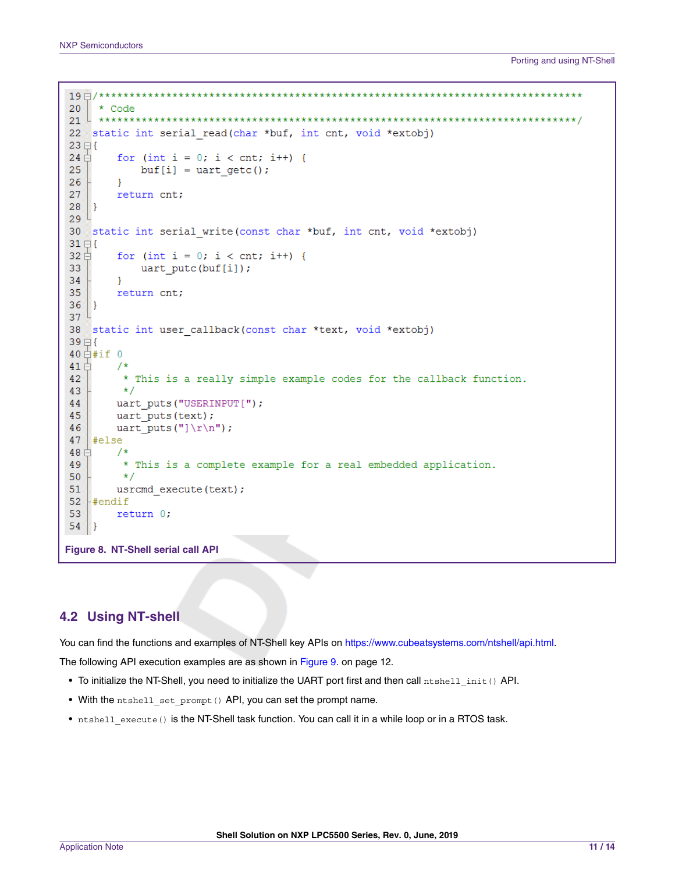```
20
   * Code
22 static int serial read(char *buf, int cnt, void *extobj)
23 \boxminus \{24 \oplusfor (int i = 0; i < cnt; i++) {
25
          buf[i] = uart getc();26
       }
27
       return cnt;
28
  \vert }
29<sup>1</sup>30 static int serial write (const char *buf, int cnt, void *extobj)
31 \boxdot32日
       for (int i = 0; i < cnt; i++) {
33
          uart putc(bluf[i]);
34
       }
35
       return cnt;
36 | }
37<sup>l</sup>38 static int user callback (const char *text, void *extobj)
39日{
40 \nightharpoonup^{\text{4}}#if 0
41 \Box/*
        * This is a really simple example codes for the callback function.
42
43
        \star/uart_puts("USERINPUT[");
44
45
       uart puts (text);
46
       uart puts ("]\r\ln");
47
   #else
48 \oplus/*
        * This is a complete example for a real embedded application.
49
50
        \star/51
       usrcmd execute (text) ;
  #endif
52
53
       return 0;
54 }
```
**Figure 8. NT-Shell serial call API**

### **4.2 Using NT-shell**

You can find the functions and examples of NT-Shell key APIs on [https://www.cubeatsystems.com/ntshell/api.html.](https://www.cubeatsystems.com/ntshell/api.html)

The following API execution examples are as shown in [Figure 9. o](#page-11-0)n page 12.

- To initialize the NT-Shell, you need to initialize the UART port first and then call ntshell init() API.
- With the ntshell set prompt() API, you can set the prompt name.
- ntshell execute() is the NT-Shell task function. You can call it in a while loop or in a RTOS task.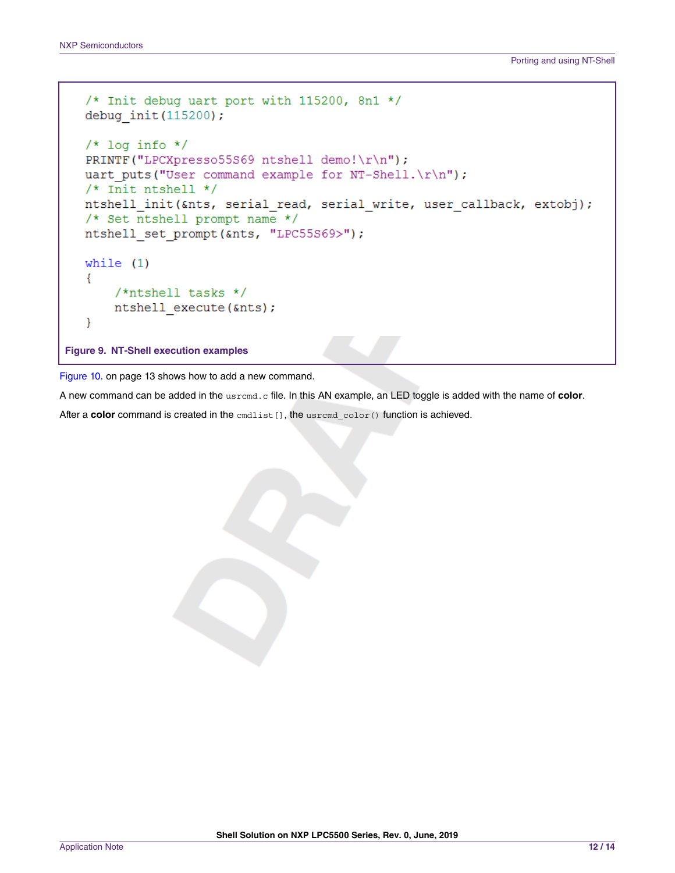```
/* Init debug uart port with 115200, 8n1 */
  debug init (115200);
  /* log info */PRINTF("LPCXpresso55569 ntshell demo!\r\n");
  uart puts ("User command example for NT-Shell.\r\ln");
  /* Init ntshell */
  ntshell init(&nts, serial read, serial write, user callback, extobj);
  /* Set ntshell prompt name */
  ntshell set prompt (&nts, "LPC55S69>");
  while (1)€
       /*ntshell tasks */ntshell execute (&nts);
   ₹
Figure 9. NT-Shell execution examples
```
[Figure 10.](#page-12-0) on page 13 shows how to add a new command.

A new command can be added in the usrcmd.c file. In this AN example, an LED toggle is added with the name of **color**.

After a **color** command is created in the  $\text{cmdistr}[]$ , the usrcmd  $\text{color}()$  function is achieved.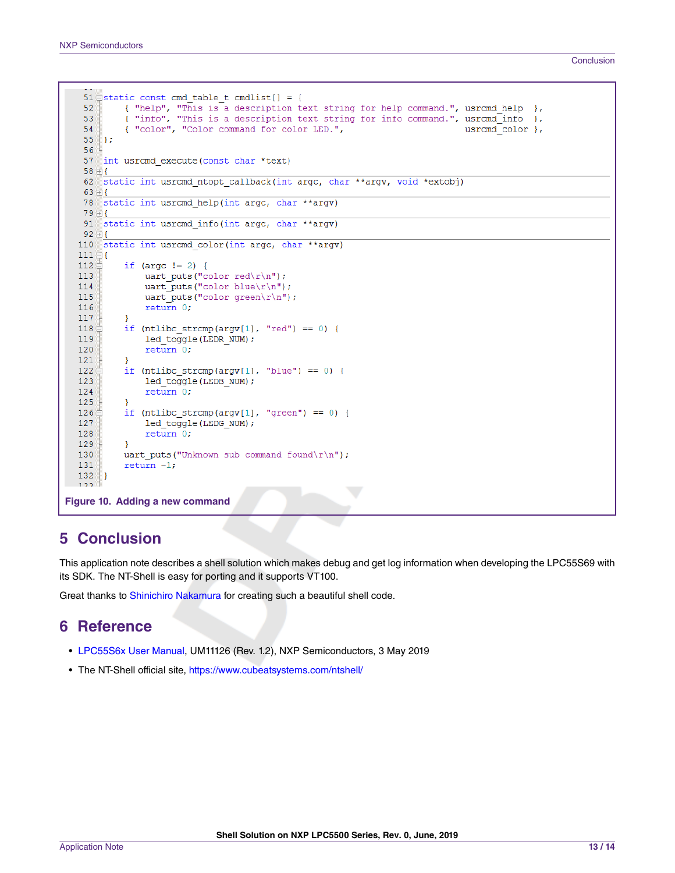```
Conclusion
```

```
51 \existsstatic const cmd_table_t cmdlist[] = {
             { "help", "This is a description text string for help command.", usrcmd help },<br>{ "info", "This is a description text string for info command.", usrcmd_info },
    52
    53
   54
             { "color", "Color command for color LED.",
                                                                                           usramd_color },
    55
       \Vert } ;
    56<sup>°</sup>57 int usrcmd execute (const char *text)
   58 田{
    62 static int usrcmd_ntopt_callback(int argc, char **argv, void *extobj)
    63 \boxplus \{78 static int usrcmd help (int argc, char **argv)
   79 田 {
   91 static int usrcmd info (int argc, char ** argv)
   92 \oplus110 static int usrcmd color (int argc, char **argv)
  111 \boxplus \{112 \, \varepsilonif (argc != 2) {
  113
                 uart puts ("color red\r\n");
                  uart puts ("color blue\r\n");
  114
  115
                  uart puts ("color green\r\n");
  116
                 return 0;
  117
             -1
  118 \n\triangleif (ntlibc strcmp(argv[1], "red") == 0) {
  119
                  led_toggle(LEDR_NUM);
  120
                  return 0;
  121
  122 \, \varepsilonif (ntlike\_strcmp(argv[1], "blue") == 0) {
  123
                 led_toggle(LEDB_NUM);
  124
                  return 0;
  125
             -1
  126
             if (ntlike_strcmp(argv[1], "green") == 0) {
  127
                  led_toggle(LEDG_NUM);
  128
                  return 0;
  129
             \mathcal{F}uart_puts("Unknown sub command found\r\n");
  130
  131
             return -1;132
        - 1
  122Figure 10. Adding a new command
```
# **5 Conclusion**

This application note describes a shell solution which makes debug and get log information when developing the LPC55S69 with its SDK. The NT-Shell is easy for porting and it supports VT100.

Great thanks to [Shinichiro Nakamura](https://twitter.com/shintamainjp) for creating such a beautiful shell code.

# **6 Reference**

- [LPC55S6x User Manual](https://www.nxp.com/docs/en/user-guide/UM11126.pdf), UM11126 (Rev. 1.2), NXP Semiconductors, 3 May 2019
- The NT-Shell official site,<https://www.cubeatsystems.com/ntshell/>